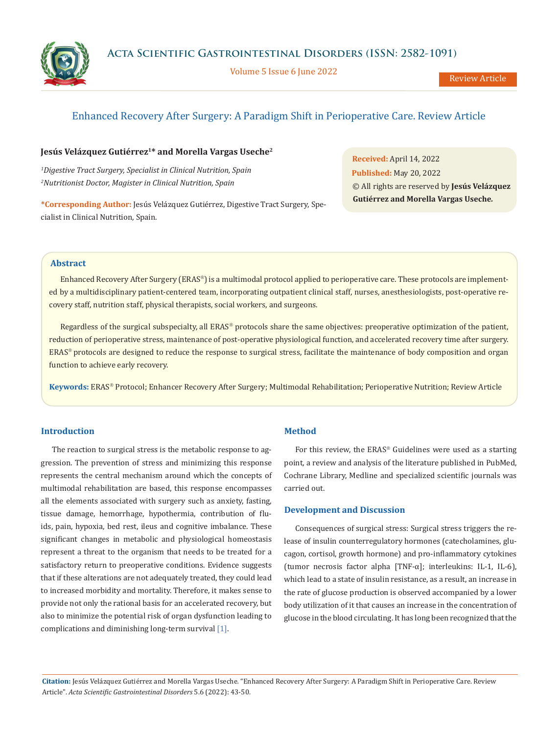Volume 5 Issue 6 June 2022

# Enhanced Recovery After Surgery: A Paradigm Shift in Perioperative Care. Review Article

# Jesús Velázquez Gutiérrez<sup>1\*</sup> and Morella Vargas Useche<sup>2</sup>

*1 Digestive Tract Surgery, Specialist in Clinical Nutrition, Spain 2 Nutritionist Doctor, Magister in Clinical Nutrition, Spain*

**\*Corresponding Author:** Jesús Velázquez Gutiérrez, Digestive Tract Surgery, Specialist in Clinical Nutrition, Spain.

**Received:** April 14, 2022 **Published:** May 20, 2022 © All rights are reserved by **Jesús Velázquez Gutiérrez and Morella Vargas Useche***.*

## **Abstract**

Enhanced Recovery After Surgery (ERAS®) is a multimodal protocol applied to perioperative care. These protocols are implemented by a multidisciplinary patient-centered team, incorporating outpatient clinical staff, nurses, anesthesiologists, post-operative recovery staff, nutrition staff, physical therapists, social workers, and surgeons.

Regardless of the surgical subspecialty, all ERAS® protocols share the same objectives: preoperative optimization of the patient, reduction of perioperative stress, maintenance of post-operative physiological function, and accelerated recovery time after surgery. ERAS<sup>®</sup> protocols are designed to reduce the response to surgical stress, facilitate the maintenance of body composition and organ function to achieve early recovery.

Keywords: ERAS<sup>®</sup> Protocol; Enhancer Recovery After Surgery; Multimodal Rehabilitation; Perioperative Nutrition; Review Article

## **Introduction**

The reaction to surgical stress is the metabolic response to aggression. The prevention of stress and minimizing this response represents the central mechanism around which the concepts of multimodal rehabilitation are based, this response encompasses all the elements associated with surgery such as anxiety, fasting, tissue damage, hemorrhage, hypothermia, contribution of fluids, pain, hypoxia, bed rest, ileus and cognitive imbalance. These significant changes in metabolic and physiological homeostasis represent a threat to the organism that needs to be treated for a satisfactory return to preoperative conditions. Evidence suggests that if these alterations are not adequately treated, they could lead to increased morbidity and mortality. Therefore, it makes sense to provide not only the rational basis for an accelerated recovery, but also to minimize the potential risk of organ dysfunction leading to complications and diminishing long-term survival [1].

### **Method**

For this review, the  $ERAS^{\circ}$  Guidelines were used as a starting point, a review and analysis of the literature published in PubMed, Cochrane Library, Medline and specialized scientific journals was carried out.

# **Development and Discussion**

Consequences of surgical stress: Surgical stress triggers the release of insulin counterregulatory hormones (catecholamines, glucagon, cortisol, growth hormone) and pro-inflammatory cytokines (tumor necrosis factor alpha [TNF-α]; interleukins: IL-1, IL-6), which lead to a state of insulin resistance, as a result, an increase in the rate of glucose production is observed accompanied by a lower body utilization of it that causes an increase in the concentration of glucose in the blood circulating. It has long been recognized that the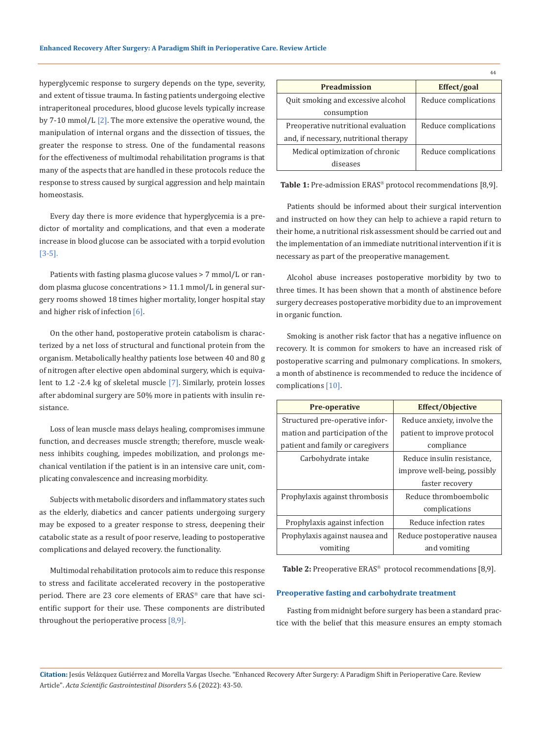hyperglycemic response to surgery depends on the type, severity, and extent of tissue trauma. In fasting patients undergoing elective intraperitoneal procedures, blood glucose levels typically increase by 7-10 mmol/L  $[2]$ . The more extensive the operative wound, the manipulation of internal organs and the dissection of tissues, the greater the response to stress. One of the fundamental reasons for the effectiveness of multimodal rehabilitation programs is that many of the aspects that are handled in these protocols reduce the response to stress caused by surgical aggression and help maintain homeostasis.

Every day there is more evidence that hyperglycemia is a predictor of mortality and complications, and that even a moderate increase in blood glucose can be associated with a torpid evolution [3-5].

Patients with fasting plasma glucose values > 7 mmol/L or random plasma glucose concentrations > 11.1 mmol/L in general surgery rooms showed 18 times higher mortality, longer hospital stay and higher risk of infection [6].

On the other hand, postoperative protein catabolism is characterized by a net loss of structural and functional protein from the organism. Metabolically healthy patients lose between 40 and 80 g of nitrogen after elective open abdominal surgery, which is equivalent to 1.2 -2.4 kg of skeletal muscle [7]. Similarly, protein losses after abdominal surgery are 50% more in patients with insulin resistance.

Loss of lean muscle mass delays healing, compromises immune function, and decreases muscle strength; therefore, muscle weakness inhibits coughing, impedes mobilization, and prolongs mechanical ventilation if the patient is in an intensive care unit, complicating convalescence and increasing morbidity.

Subjects with metabolic disorders and inflammatory states such as the elderly, diabetics and cancer patients undergoing surgery may be exposed to a greater response to stress, deepening their catabolic state as a result of poor reserve, leading to postoperative complications and delayed recovery. the functionality.

Multimodal rehabilitation protocols aim to reduce this response to stress and facilitate accelerated recovery in the postoperative period. There are 23 core elements of ERAS® care that have scientific support for their use. These components are distributed throughout the perioperative process  $[8,9]$ .

| <b>Preadmission</b>                    | Effect/goal          |
|----------------------------------------|----------------------|
| Quit smoking and excessive alcohol     | Reduce complications |
| consumption                            |                      |
| Preoperative nutritional evaluation    | Reduce complications |
| and, if necessary, nutritional therapy |                      |
| Medical optimization of chronic        | Reduce complications |
| diseases                               |                      |

44

Table 1: Pre-admission ERAS® protocol recommendations [8,9].

Patients should be informed about their surgical intervention and instructed on how they can help to achieve a rapid return to their home, a nutritional risk assessment should be carried out and the implementation of an immediate nutritional intervention if it is necessary as part of the preoperative management.

Alcohol abuse increases postoperative morbidity by two to three times. It has been shown that a month of abstinence before surgery decreases postoperative morbidity due to an improvement in organic function.

Smoking is another risk factor that has a negative influence on recovery. It is common for smokers to have an increased risk of postoperative scarring and pulmonary complications. In smokers, a month of abstinence is recommended to reduce the incidence of complications [10].

| <b>Pre-operative</b>             | <b>Effect/Objective</b>      |
|----------------------------------|------------------------------|
| Structured pre-operative infor-  | Reduce anxiety, involve the  |
| mation and participation of the  | patient to improve protocol  |
| patient and family or caregivers | compliance                   |
| Carbohydrate intake              | Reduce insulin resistance,   |
|                                  | improve well-being, possibly |
|                                  | faster recovery              |
| Prophylaxis against thrombosis   | Reduce thromboembolic        |
|                                  | complications                |
| Prophylaxis against infection    | Reduce infection rates       |
| Prophylaxis against nausea and   | Reduce postoperative nausea  |
| vomiting                         | and vomiting                 |

Table 2: Preoperative ERAS<sup>®</sup> protocol recommendations [8,9].

### **Preoperative fasting and carbohydrate treatment**

Fasting from midnight before surgery has been a standard practice with the belief that this measure ensures an empty stomach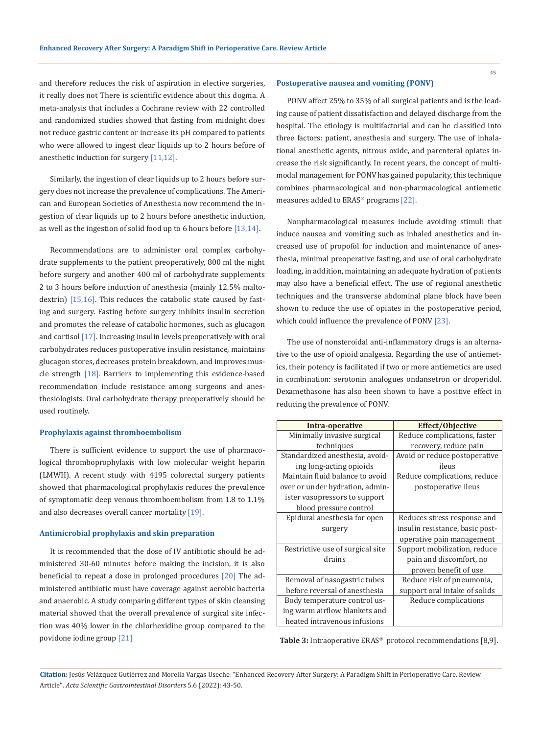and therefore reduces the risk of aspiration in elective surgeries, it really does not There is scientific evidence about this dogma. A meta-analysis that includes a Cochrane review with 22 controlled and randomized studies showed that fasting from midnight does not reduce gastric content or increase its pH compared to patients who were allowed to ingest clear liquids up to 2 hours before of anesthetic induction for surgery [11,12].

Similarly, the ingestion of clear liquids up to 2 hours before surgery does not increase the prevalence of complications. The American and European Societies of Anesthesia now recommend the ingestion of clear liquids up to 2 hours before anesthetic induction, as well as the ingestion of solid food up to 6 hours before [13,14].

Recommendations are to administer oral complex carbohydrate supplements to the patient preoperatively, 800 ml the night before surgery and another 400 ml of carbohydrate supplements 2 to 3 hours before induction of anesthesia (mainly 12.5% maltodextrin) [15,16]. This reduces the catabolic state caused by fasting and surgery. Fasting before surgery inhibits insulin secretion and promotes the release of catabolic hormones, such as glucagon and cortisol [17]. Increasing insulin levels preoperatively with oral carbohydrates reduces postoperative insulin resistance, maintains glucagon stores, decreases protein breakdown, and improves muscle strength  $[18]$ . Barriers to implementing this evidence-based recommendation include resistance among surgeons and anesthesiologists. Oral carbohydrate therapy preoperatively should be used routinely.

### **Prophylaxis against thromboembolism**

There is sufficient evidence to support the use of pharmacological thromboprophylaxis with low molecular weight heparin (LMWH). A recent study with 4195 colorectal surgery patients showed that pharmacological prophylaxis reduces the prevalence of symptomatic deep venous thromboembolism from 1.8 to 1.1% and also decreases overall cancer mortality [19].

#### **Antimicrobial prophylaxis and skin preparation**

It is recommended that the dose of IV antibiotic should be administered 30-60 minutes before making the incision, it is also beneficial to repeat a dose in prolonged procedures [20] The administered antibiotic must have coverage against aerobic bacteria and anaerobic. A study comparing different types of skin cleansing material showed that the overall prevalence of surgical site infection was 40% lower in the chlorhexidine group compared to the povidone iodine group [21]

### **Postoperative nausea and vomiting (PONV)**

PONV affect 25% to 35% of all surgical patients and is the leading cause of patient dissatisfaction and delayed discharge from the hospital. The etiology is multifactorial and can be classified into three factors: patient, anesthesia and surgery. The use of inhalational anesthetic agents, nitrous oxide, and parenteral opiates increase the risk significantly. In recent years, the concept of multimodal management for PONV has gained popularity, this technique combines pharmacological and non-pharmacological antiemetic measures added to  $ERAS$ <sup>®</sup> programs [22].

Nonpharmacological measures include avoiding stimuli that induce nausea and vomiting such as inhaled anesthetics and increased use of propofol for induction and maintenance of anesthesia, minimal preoperative fasting, and use of oral carbohydrate loading, in addition, maintaining an adequate hydration of patients may also have a beneficial effect. The use of regional anesthetic techniques and the transverse abdominal plane block have been shown to reduce the use of opiates in the postoperative period, which could influence the prevalence of PONV [23].

The use of nonsteroidal anti-inflammatory drugs is an alternative to the use of opioid analgesia. Regarding the use of antiemetics, their potency is facilitated if two or more antiemetics are used in combination: serotonin analogues ondansetron or droperidol. Dexamethasone has also been shown to have a positive effect in reducing the prevalence of PONV.

| Intra-operative                  | <b>Effect/Objective</b>         |
|----------------------------------|---------------------------------|
| Minimally invasive surgical      | Reduce complications, faster    |
| techniques                       | recovery, reduce pain           |
| Standardized anesthesia, avoid-  | Avoid or reduce postoperative   |
| ing long-acting opioids          | ileus                           |
| Maintain fluid balance to avoid  | Reduce complications, reduce    |
| over or under hydration, admin-  | postoperative ileus             |
| ister vasopressors to support    |                                 |
| blood pressure control           |                                 |
| Epidural anesthesia for open     | Reduces stress response and     |
| surgery                          | insulin resistance, basic post- |
|                                  | operative pain management       |
| Restrictive use of surgical site | Support mobilization, reduce    |
| drains                           | pain and discomfort, no         |
|                                  | proven benefit of use           |
| Removal of nasogastric tubes     | Reduce risk of pneumonia,       |
| before reversal of anesthesia    | support oral intake of solids   |
| Body temperature control us-     | Reduce complications            |
| ing warm airflow blankets and    |                                 |
| heated intravenous infusions     |                                 |

Table 3: Intraoperative ERAS<sup>®</sup> protocol recommendations [8,9].

**Citation:** Jesús Velázquez Gutiérrez and Morella Vargas Useche*.* "Enhanced Recovery After Surgery: A Paradigm Shift in Perioperative Care. Review Article". *Acta Scientific Gastrointestinal Disorders* 5.6 (2022): 43-50.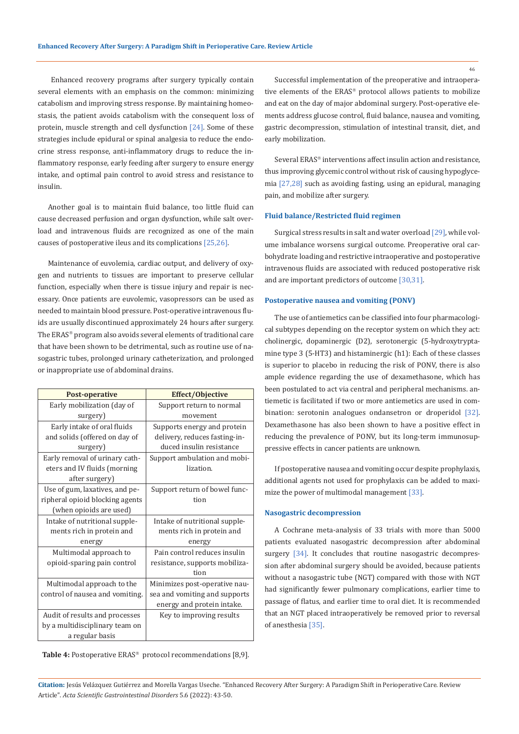Enhanced recovery programs after surgery typically contain several elements with an emphasis on the common: minimizing catabolism and improving stress response. By maintaining homeostasis, the patient avoids catabolism with the consequent loss of protein, muscle strength and cell dysfunction [24]. Some of these strategies include epidural or spinal analgesia to reduce the endocrine stress response, anti-inflammatory drugs to reduce the inflammatory response, early feeding after surgery to ensure energy intake, and optimal pain control to avoid stress and resistance to insulin.

Another goal is to maintain fluid balance, too little fluid can cause decreased perfusion and organ dysfunction, while salt overload and intravenous fluids are recognized as one of the main causes of postoperative ileus and its complications [25,26].

Maintenance of euvolemia, cardiac output, and delivery of oxygen and nutrients to tissues are important to preserve cellular function, especially when there is tissue injury and repair is necessary. Once patients are euvolemic, vasopressors can be used as needed to maintain blood pressure. Post-operative intravenous fluids are usually discontinued approximately 24 hours after surgery. The ERAS<sup>®</sup> program also avoids several elements of traditional care that have been shown to be detrimental, such as routine use of nasogastric tubes, prolonged urinary catheterization, and prolonged or inappropriate use of abdominal drains.

| <b>Post-operative</b>                          | <b>Effect/Objective</b>        |
|------------------------------------------------|--------------------------------|
| Early mobilization (day of                     | Support return to normal       |
| surgery)                                       | movement                       |
| Early intake of oral fluids                    | Supports energy and protein    |
| and solids (offered on day of                  | delivery, reduces fasting-in-  |
| surgery)                                       | duced insulin resistance       |
| Early removal of urinary cath-                 | Support ambulation and mobi-   |
| eters and IV fluids (morning<br>after surgery) | lization.                      |
| Use of gum, laxatives, and pe-                 | Support return of bowel func-  |
| ripheral opioid blocking agents                | tion                           |
| (when opioids are used)                        |                                |
| Intake of nutritional supple-                  | Intake of nutritional supple-  |
| ments rich in protein and                      | ments rich in protein and      |
| energy                                         | energy                         |
| Multimodal approach to                         | Pain control reduces insulin   |
| opioid-sparing pain control                    | resistance, supports mobiliza- |
|                                                | tion                           |
| Multimodal approach to the                     | Minimizes post-operative nau-  |
| control of nausea and vomiting.                | sea and vomiting and supports  |
|                                                | energy and protein intake.     |
| Audit of results and processes                 | Key to improving results       |
| by a multidisciplinary team on                 |                                |
| a regular basis                                |                                |

**Table 4:** Postoperative ERAS<sup>®</sup> protocol recommendations [8,9].

Successful implementation of the preoperative and intraoperative elements of the ERAS® protocol allows patients to mobilize and eat on the day of major abdominal surgery. Post-operative elements address glucose control, fluid balance, nausea and vomiting, gastric decompression, stimulation of intestinal transit, diet, and early mobilization.

Several ERAS<sup>®</sup> interventions affect insulin action and resistance, thus improving glycemic control without risk of causing hypoglycemia [27,28] such as avoiding fasting, using an epidural, managing pain, and mobilize after surgery.

### **Fluid balance/Restricted fluid regimen**

Surgical stress results in salt and water overload [29], while volume imbalance worsens surgical outcome. Preoperative oral carbohydrate loading and restrictive intraoperative and postoperative intravenous fluids are associated with reduced postoperative risk and are important predictors of outcome [30,31].

### **Postoperative nausea and vomiting (PONV)**

The use of antiemetics can be classified into four pharmacological subtypes depending on the receptor system on which they act: cholinergic, dopaminergic (D2), serotonergic (5-hydroxytryptamine type 3 (5-HT3) and histaminergic (h1): Each of these classes is superior to placebo in reducing the risk of PONV, there is also ample evidence regarding the use of dexamethasone, which has been postulated to act via central and peripheral mechanisms. antiemetic is facilitated if two or more antiemetics are used in combination: serotonin analogues ondansetron or droperidol [32]. Dexamethasone has also been shown to have a positive effect in reducing the prevalence of PONV, but its long-term immunosuppressive effects in cancer patients are unknown.

If postoperative nausea and vomiting occur despite prophylaxis, additional agents not used for prophylaxis can be added to maximize the power of multimodal management [33].

#### **Nasogastric decompression**

A Cochrane meta-analysis of 33 trials with more than 5000 patients evaluated nasogastric decompression after abdominal surgery [34]. It concludes that routine nasogastric decompression after abdominal surgery should be avoided, because patients without a nasogastric tube (NGT) compared with those with NGT had significantly fewer pulmonary complications, earlier time to passage of flatus, and earlier time to oral diet. It is recommended that an NGT placed intraoperatively be removed prior to reversal of anesthesia [35].

**Citation:** Jesús Velázquez Gutiérrez and Morella Vargas Useche*.* "Enhanced Recovery After Surgery: A Paradigm Shift in Perioperative Care. Review Article". *Acta Scientific Gastrointestinal Disorders* 5.6 (2022): 43-50.

46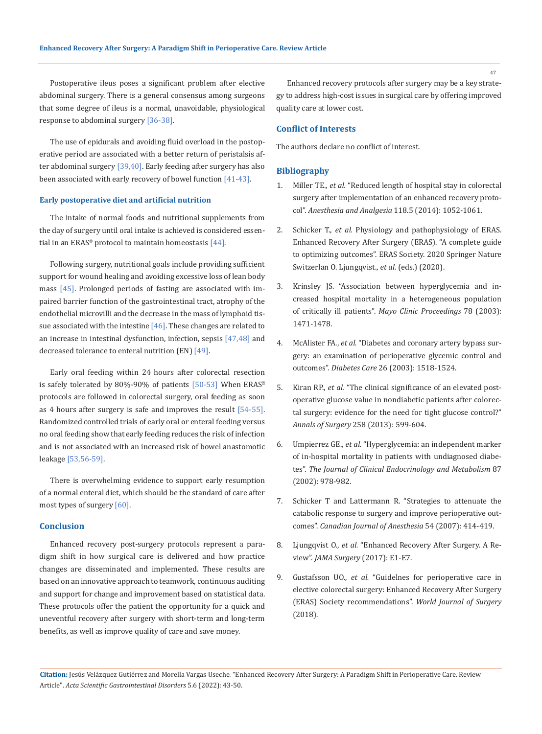Postoperative ileus poses a significant problem after elective abdominal surgery. There is a general consensus among surgeons that some degree of ileus is a normal, unavoidable, physiological response to abdominal surgery [36-38].

The use of epidurals and avoiding fluid overload in the postoperative period are associated with a better return of peristalsis after abdominal surgery [39,40]. Early feeding after surgery has also been associated with early recovery of bowel function [41-43].

#### **Early postoperative diet and artificial nutrition**

The intake of normal foods and nutritional supplements from the day of surgery until oral intake is achieved is considered essential in an ERAS<sup>®</sup> protocol to maintain homeostasis  $[44]$ .

Following surgery, nutritional goals include providing sufficient support for wound healing and avoiding excessive loss of lean body mass [45]. Prolonged periods of fasting are associated with impaired barrier function of the gastrointestinal tract, atrophy of the endothelial microvilli and the decrease in the mass of lymphoid tissue associated with the intestine  $[46]$ . These changes are related to an increase in intestinal dysfunction, infection, sepsis [47,48] and decreased tolerance to enteral nutrition (EN) [49].

Early oral feeding within 24 hours after colorectal resection is safely tolerated by 80%-90% of patients [50-53] When ERAS<sup>®</sup> protocols are followed in colorectal surgery, oral feeding as soon as 4 hours after surgery is safe and improves the result [54-55]. Randomized controlled trials of early oral or enteral feeding versus no oral feeding show that early feeding reduces the risk of infection and is not associated with an increased risk of bowel anastomotic leakage [53,56-59].

There is overwhelming evidence to support early resumption of a normal enteral diet, which should be the standard of care after most types of surgery [60].

### **Conclusion**

Enhanced recovery post-surgery protocols represent a paradigm shift in how surgical care is delivered and how practice changes are disseminated and implemented. These results are based on an innovative approach to teamwork, continuous auditing and support for change and improvement based on statistical data. These protocols offer the patient the opportunity for a quick and uneventful recovery after surgery with short-term and long-term benefits, as well as improve quality of care and save money.

Enhanced recovery protocols after surgery may be a key strategy to address high-cost issues in surgical care by offering improved quality care at lower cost.

### **Conflict of Interests**

The authors declare no conflict of interest.

### **Bibliography**

- 1. Miller TE., *et al.* ["Reduced length of hospital stay in colorectal](https://pubmed.ncbi.nlm.nih.gov/24781574/)  [surgery after implementation of an enhanced recovery proto](https://pubmed.ncbi.nlm.nih.gov/24781574/)col". *[Anesthesia and Analgesia](https://pubmed.ncbi.nlm.nih.gov/24781574/)* 118.5 (2014): 1052-1061.
- 2. Schicker T., *et al.* [Physiology and pathophysiology of ERAS.](https://link.springer.com/book/10.1007/978-3-030-33443-7?noAccess=true)  [Enhanced Recovery After Surgery \(ERAS\). "A complete guide](https://link.springer.com/book/10.1007/978-3-030-33443-7?noAccess=true)  [to optimizing outcomes". ERAS Society. 2020 Springer Nature](https://link.springer.com/book/10.1007/978-3-030-33443-7?noAccess=true)  [Switzerlan O. Ljungqvist.,](https://link.springer.com/book/10.1007/978-3-030-33443-7?noAccess=true) *et al.* (eds.) (2020).
- 3. [Krinsley JS. "Association between hyperglycemia and in](https://pubmed.ncbi.nlm.nih.gov/14661676/)[creased hospital mortality in a heterogeneous population](https://pubmed.ncbi.nlm.nih.gov/14661676/)  of critically ill patients". *[Mayo Clinic Proceedings](https://pubmed.ncbi.nlm.nih.gov/14661676/)* 78 (2003): [1471-1478.](https://pubmed.ncbi.nlm.nih.gov/14661676/)
- 4. McAlister FA., *et al.* ["Diabetes and coronary artery bypass sur](https://pubmed.ncbi.nlm.nih.gov/12716815/)[gery: an examination of perioperative glycemic control and](https://pubmed.ncbi.nlm.nih.gov/12716815/)  outcomes". *Diabetes Care* [26 \(2003\): 1518-1524.](https://pubmed.ncbi.nlm.nih.gov/12716815/)
- 5. Kiran RP., *et al.* ["The clinical significance of an elevated post](https://pubmed.ncbi.nlm.nih.gov/23979274/)[operative glucose value in nondiabetic patients after colorec](https://pubmed.ncbi.nlm.nih.gov/23979274/)[tal surgery: evidence for the need for tight glucose control?"](https://pubmed.ncbi.nlm.nih.gov/23979274/)  *Annals of Surgery* [258 \(2013\): 599-604.](https://pubmed.ncbi.nlm.nih.gov/23979274/)
- 6. Umpierrez GE., *et al.* ["Hyperglycemia: an independent marker](https://pubmed.ncbi.nlm.nih.gov/11889147/)  [of in-hospital mortality in patients with undiagnosed diabe](https://pubmed.ncbi.nlm.nih.gov/11889147/)tes". *[The Journal of Clinical Endocrinology and Metabolism](https://pubmed.ncbi.nlm.nih.gov/11889147/)* 87 [\(2002\): 978-982.](https://pubmed.ncbi.nlm.nih.gov/11889147/)
- 7. [Schicker T and Lattermann R. "Strategies to attenuate the](https://pubmed.ncbi.nlm.nih.gov/17541069/)  [catabolic response to surgery and improve perioperative out](https://pubmed.ncbi.nlm.nih.gov/17541069/)comes". *[Canadian Journal of Anesthesia](https://pubmed.ncbi.nlm.nih.gov/17541069/)* 54 (2007): 414-419.
- 8. Ljungqvist O., *et al.* ["Enhanced Recovery After Surgery. A Re](https://pubmed.ncbi.nlm.nih.gov/28097305/)view". *[JAMA Surgery](https://pubmed.ncbi.nlm.nih.gov/28097305/)* (2017): E1-E7.
- 9. Gustafsson UO., *et al.* ["Guidelnes for perioperative care in](https://link.springer.com/article/10.1007/s00268-018-4844-y)  [elective colorectal surgery: Enhanced Recovery After Surgery](https://link.springer.com/article/10.1007/s00268-018-4844-y)  [\(ERAS\) Society recommendations".](https://link.springer.com/article/10.1007/s00268-018-4844-y) *World Journal of Surgery* [\(2018\).](https://link.springer.com/article/10.1007/s00268-018-4844-y)

**Citation:** Jesús Velázquez Gutiérrez and Morella Vargas Useche*.* "Enhanced Recovery After Surgery: A Paradigm Shift in Perioperative Care. Review Article". *Acta Scientific Gastrointestinal Disorders* 5.6 (2022): 43-50.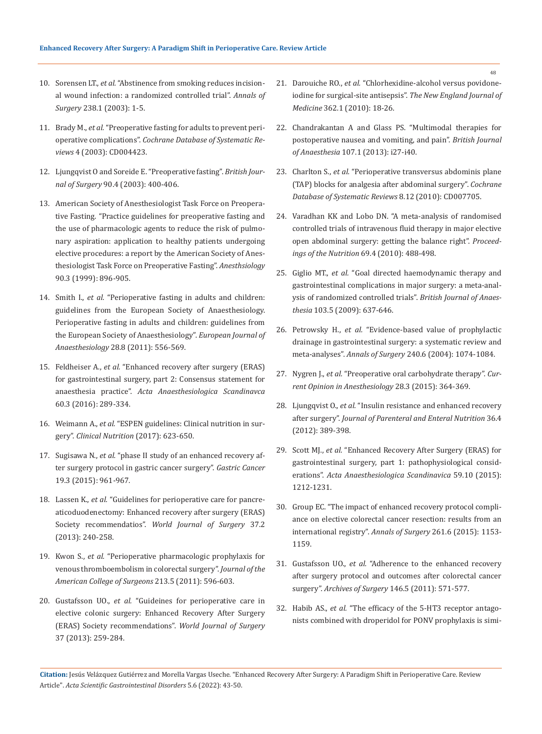- 10. Sorensen LT., *et al.* ["Abstinence from smoking reduces incision](https://pubmed.ncbi.nlm.nih.gov/12832959/)[al wound infection: a randomized controlled trial".](https://pubmed.ncbi.nlm.nih.gov/12832959/) *Annals of Surgery* [238.1 \(2003\): 1-5.](https://pubmed.ncbi.nlm.nih.gov/12832959/)
- 11. Brady M., *et al.* ["Preoperative fasting for adults to prevent peri](https://pubmed.ncbi.nlm.nih.gov/14584013/)operative complications". *[Cochrane Database of Systematic Re](https://pubmed.ncbi.nlm.nih.gov/14584013/)views* [4 \(2003\): CD004423.](https://pubmed.ncbi.nlm.nih.gov/14584013/)
- 12. [Ljungqvist O and Soreide E. "Preoperative fasting".](https://pubmed.ncbi.nlm.nih.gov/12673740/) *British Journal of Surgery* [90.4 \(2003\): 400-406.](https://pubmed.ncbi.nlm.nih.gov/12673740/)
- 13. [American Society of Anesthesiologist Task Force on Preopera](https://pubs.asahq.org/anesthesiology/article/126/3/376/19733/Practice-Guidelines-for-Preoperative-Fasting-and)[tive Fasting. "Practice guidelines for preoperative fasting and](https://pubs.asahq.org/anesthesiology/article/126/3/376/19733/Practice-Guidelines-for-Preoperative-Fasting-and)  [the use of pharmacologic agents to reduce the risk of pulmo](https://pubs.asahq.org/anesthesiology/article/126/3/376/19733/Practice-Guidelines-for-Preoperative-Fasting-and)[nary aspiration: application to healthy patients undergoing](https://pubs.asahq.org/anesthesiology/article/126/3/376/19733/Practice-Guidelines-for-Preoperative-Fasting-and)  [elective procedures: a report by the American Society of Anes](https://pubs.asahq.org/anesthesiology/article/126/3/376/19733/Practice-Guidelines-for-Preoperative-Fasting-and)[thesiologist Task Force on Preoperative Fasting".](https://pubs.asahq.org/anesthesiology/article/126/3/376/19733/Practice-Guidelines-for-Preoperative-Fasting-and) *Anesthsiology*  [90.3 \(1999\): 896-905.](https://pubs.asahq.org/anesthesiology/article/126/3/376/19733/Practice-Guidelines-for-Preoperative-Fasting-and)
- 14. Smith I., *et al.* ["Perioperative fasting in adults and children:](https://pubmed.ncbi.nlm.nih.gov/21712716/)  [guidelines from the European Society of Anaesthesiology.](https://pubmed.ncbi.nlm.nih.gov/21712716/)  [Perioperative fasting in adults and children: guidelines from](https://pubmed.ncbi.nlm.nih.gov/21712716/)  [the European Society of Anaesthesiology".](https://pubmed.ncbi.nlm.nih.gov/21712716/) *European Journal of Anaesthesiology* [28.8 \(2011\): 556-569.](https://pubmed.ncbi.nlm.nih.gov/21712716/)
- 15. Feldheiser A., *et al.* ["Enhanced recovery after surgery \(ERAS\)](https://onlinelibrary.wiley.com/doi/full/10.1111/aas.12651)  [for gastrointestinal surgery, part 2: Consensus statement for](https://onlinelibrary.wiley.com/doi/full/10.1111/aas.12651)  anaesthesia practice". *[Acta Anaesthesiologica Scandinavca](https://onlinelibrary.wiley.com/doi/full/10.1111/aas.12651)* [60.3 \(2016\): 289-334.](https://onlinelibrary.wiley.com/doi/full/10.1111/aas.12651)
- 16. Weimann A., *et al.* ["ESPEN guidelines: Clinical nutrition in sur](https://www.espen.org/files/ESPEN-guideline_Clinical-nutrition-in-surgery.pdf)gery". *[Clinical Nutrition](https://www.espen.org/files/ESPEN-guideline_Clinical-nutrition-in-surgery.pdf)* (2017): 623-650.
- 17. Sugisawa N., *et al.* ["phase II study of an enhanced recovery af](https://pubmed.ncbi.nlm.nih.gov/26260875/)[ter surgery protocol in gastric cancer surgery".](https://pubmed.ncbi.nlm.nih.gov/26260875/) *Gastric Cancer* [19.3 \(2015\): 961-967](https://pubmed.ncbi.nlm.nih.gov/26260875/)*.*
- 18. Lassen K., *et al.* ["Guidelines for perioperative care for pancre](https://pubmed.ncbi.nlm.nih.gov/23079762/)[aticoduodenectomy: Enhanced recovery after surgery \(ERAS\)](https://pubmed.ncbi.nlm.nih.gov/23079762/)  Society recommendatios". *[World Journal of Surgery](https://pubmed.ncbi.nlm.nih.gov/23079762/)* 37.2 [\(2013\): 240-258.](https://pubmed.ncbi.nlm.nih.gov/23079762/)
- 19. Kwon S., *et al.* ["Perioperative pharmacologic prophylaxis for](https://pubmed.ncbi.nlm.nih.gov/21871823/)  [venous thromboembolism in colorectal surgery".](https://pubmed.ncbi.nlm.nih.gov/21871823/) *Journal of the [American College of Surgeons](https://pubmed.ncbi.nlm.nih.gov/21871823/)* 213.5 (2011): 596-603.
- 20. Gustafsson UO., *et al.* ["Guideines for perioperative care in](https://pubmed.ncbi.nlm.nih.gov/23052794/)  [elective colonic surgery: Enhanced Recovery After Surgery](https://pubmed.ncbi.nlm.nih.gov/23052794/)  [\(ERAS\) Society recommendations".](https://pubmed.ncbi.nlm.nih.gov/23052794/) *World Journal of Surgery* [37 \(2013\): 259-284.](https://pubmed.ncbi.nlm.nih.gov/23052794/)
- 21. Darouiche RO., *et al.* ["Chlorhexidine-alcohol versus povidone](https://www.nejm.org/doi/full/10.1056/nejmoa0810988)[iodine for surgical-site antisepsis".](https://www.nejm.org/doi/full/10.1056/nejmoa0810988) *The New England Journal of Medicine* [362.1 \(2010\): 18-26.](https://www.nejm.org/doi/full/10.1056/nejmoa0810988)
- 22. [Chandrakantan A and Glass PS. "Multimodal therapies for](https://pubmed.ncbi.nlm.nih.gov/22156268/)  [postoperative nausea and vomiting, and pain".](https://pubmed.ncbi.nlm.nih.gov/22156268/) *British Journal of Anaesthesia* [107.1 \(2013\): i27-i40.](https://pubmed.ncbi.nlm.nih.gov/22156268/)
- 23. Charlton S., *et al.* ["Perioperative transversus abdominis plane](https://pubmed.ncbi.nlm.nih.gov/21154380/)  [\(TAP\) blocks for analgesia after abdominal surgery".](https://pubmed.ncbi.nlm.nih.gov/21154380/) *Cochrane [Database of Systematic Reviews](https://pubmed.ncbi.nlm.nih.gov/21154380/)* 8.12 (2010): CD007705.
- 24. [Varadhan KK and Lobo DN. "A meta-analysis of randomised](https://pubmed.ncbi.nlm.nih.gov/20515521/)  [controlled trials of intravenous fluid therapy in major elective](https://pubmed.ncbi.nlm.nih.gov/20515521/)  [open abdominal surgery: getting the balance right".](https://pubmed.ncbi.nlm.nih.gov/20515521/) *Proceed[ings of the Nutrition](https://pubmed.ncbi.nlm.nih.gov/20515521/)* 69.4 (2010): 488-498.
- 25. Giglio MT., *et al.* ["Goal directed haemodynamic therapy and](https://pubmed.ncbi.nlm.nih.gov/19837807/)  [gastrointestinal complications in major surgery: a meta-anal](https://pubmed.ncbi.nlm.nih.gov/19837807/)[ysis of randomized controlled trials".](https://pubmed.ncbi.nlm.nih.gov/19837807/) *British Journal of Anaesthesia* [103.5 \(2009\): 637-646.](https://pubmed.ncbi.nlm.nih.gov/19837807/)
- 26. Petrowsky H., *et al.* ["Evidence-based value of prophylactic](https://pubmed.ncbi.nlm.nih.gov/15570212/)  [drainage in gastrointestinal surgery: a systematic review and](https://pubmed.ncbi.nlm.nih.gov/15570212/)  meta-analyses". *Annals of Surgery* [240.6 \(2004\): 1074-1084.](https://pubmed.ncbi.nlm.nih.gov/15570212/)
- 27. Nygren J., *et al.* ["Preoperative oral carbohydrate therapy".](https://pubmed.ncbi.nlm.nih.gov/25827282/) *Cur[rent Opinion in Anesthesiology](https://pubmed.ncbi.nlm.nih.gov/25827282/)* 28.3 (2015): 364-369.
- 28. Ljungqvist O., *et al.* ["Insulin resistance and enhanced recovery](https://pubmed.ncbi.nlm.nih.gov/22577121/)  after surgery". *[Journal of Parenteral and Enteral Nutrition](https://pubmed.ncbi.nlm.nih.gov/22577121/)* 36.4 [\(2012\): 389-398.](https://pubmed.ncbi.nlm.nih.gov/22577121/)
- 29. Scott MJ., *et al.* ["Enhanced Recovery After Surgery \(ERAS\) for](https://pubmed.ncbi.nlm.nih.gov/26346577/)  [gastrointestinal surgery, part 1: pathophysiological consid](https://pubmed.ncbi.nlm.nih.gov/26346577/)erations". *[Acta Anaesthesiologica Scandinavica](https://pubmed.ncbi.nlm.nih.gov/26346577/)* 59.10 (2015): [1212-1231.](https://pubmed.ncbi.nlm.nih.gov/26346577/)
- 30. [Group EC. "The impact of enhanced recovery protocol compli](https://pubmed.ncbi.nlm.nih.gov/25671587/)[ance on elective colorectal cancer resection: results from an](https://pubmed.ncbi.nlm.nih.gov/25671587/)  [international registry".](https://pubmed.ncbi.nlm.nih.gov/25671587/) *Annals of Surgery* 261.6 (2015): 1153- [1159.](https://pubmed.ncbi.nlm.nih.gov/25671587/)
- 31. Gustafsson UO., *et al.* ["Adherence to the enhanced recovery](https://pubmed.ncbi.nlm.nih.gov/21242424/)  [after surgery protocol and outcomes after colorectal cancer](https://pubmed.ncbi.nlm.nih.gov/21242424/)  surgery". *Archives of Surgery* [146.5 \(2011\): 571-577.](https://pubmed.ncbi.nlm.nih.gov/21242424/)
- 32. Habib AS., *et al.* ["The efficacy of the 5-HT3 receptor antago](https://pubmed.ncbi.nlm.nih.gov/15064259/)[nists combined with droperidol for PONV prophylaxis is simi-](https://pubmed.ncbi.nlm.nih.gov/15064259/)

48

**Citation:** Jesús Velázquez Gutiérrez and Morella Vargas Useche*.* "Enhanced Recovery After Surgery: A Paradigm Shift in Perioperative Care. Review Article". *Acta Scientific Gastrointestinal Disorders* 5.6 (2022): 43-50.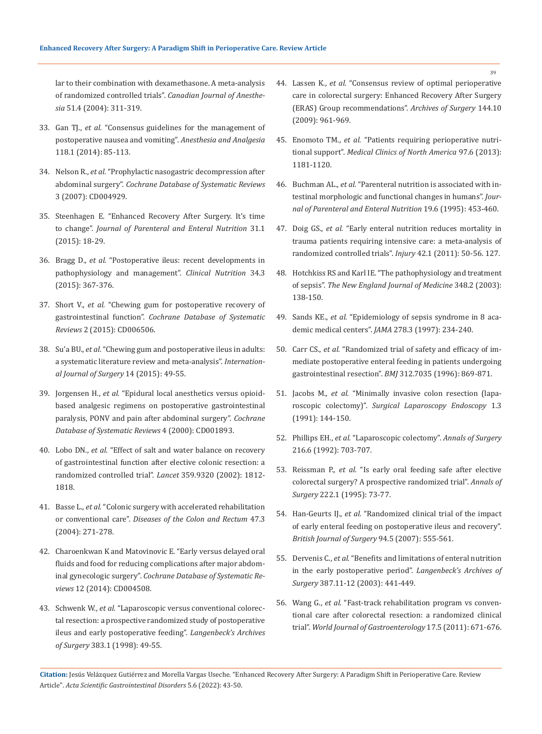[lar to their combination with dexamethasone. A meta-analysis](https://pubmed.ncbi.nlm.nih.gov/15064259/)  of randomized controlled trials". *[Canadian Journal of Anesthe](https://pubmed.ncbi.nlm.nih.gov/15064259/)sia* [51.4 \(2004\): 311-319.](https://pubmed.ncbi.nlm.nih.gov/15064259/)

- 33. Gan TJ., *et al.* ["Consensus guidelines for the management of](https://pubmed.ncbi.nlm.nih.gov/24356162/)  [postoperative nausea and vomiting".](https://pubmed.ncbi.nlm.nih.gov/24356162/) *Anesthesia and Analgesia*  [118.1 \(2014\): 85-113.](https://pubmed.ncbi.nlm.nih.gov/24356162/)
- 34. Nelson R., *et al.* ["Prophylactic nasogastric decompression after](https://www.ncbi.nlm.nih.gov/pmc/articles/PMC6669251/)  abdominal surgery". *[Cochrane Database of Systematic Reviews](https://www.ncbi.nlm.nih.gov/pmc/articles/PMC6669251/)* [3 \(2007\): CD004929.](https://www.ncbi.nlm.nih.gov/pmc/articles/PMC6669251/)
- 35. [Steenhagen E. "Enhanced Recovery After Surgery. It's time](https://pubmed.ncbi.nlm.nih.gov/26703956/)  to change". *[Journal of Parenteral and Enteral Nutrition](https://pubmed.ncbi.nlm.nih.gov/26703956/)* 31.1 [\(2015\): 18-29.](https://pubmed.ncbi.nlm.nih.gov/26703956/)
- 36. Bragg D., *et al.* ["Postoperative ileus: recent developments in](https://pubmed.ncbi.nlm.nih.gov/25819420/)  [pathophysiology and management".](https://pubmed.ncbi.nlm.nih.gov/25819420/) *Clinical Nutrition* 34.3 [\(2015\): 367-376.](https://pubmed.ncbi.nlm.nih.gov/25819420/)
- 37. Short V., *et al.* ["Chewing gum for postoperative recovery of](https://pubmed.ncbi.nlm.nih.gov/25914904/)  gastrointestinal function". *[Cochrane Database of Systematic](https://pubmed.ncbi.nlm.nih.gov/25914904/)  Reviews* [2 \(2015\): CD006506.](https://pubmed.ncbi.nlm.nih.gov/25914904/)
- 38. Su'a BU., *et al.* ["Chewing gum and postoperative ileus in adults:](https://pubmed.ncbi.nlm.nih.gov/25576763/)  [a systematic literature review and meta-analysis".](https://pubmed.ncbi.nlm.nih.gov/25576763/) *Internation[al Journal of Surgery](https://pubmed.ncbi.nlm.nih.gov/25576763/)* 14 (2015): 49-55.
- 39. Jorgensen H., *et al.* ["Epidural local anesthetics versus opioid](https://pubmed.ncbi.nlm.nih.gov/11034732/)[based analgesic regimens on postoperative gastrointestinal](https://pubmed.ncbi.nlm.nih.gov/11034732/)  [paralysis, PONV and pain after abdominal surgery".](https://pubmed.ncbi.nlm.nih.gov/11034732/) *Cochrane [Database of Systematic Reviews](https://pubmed.ncbi.nlm.nih.gov/11034732/)* 4 (2000): CD001893.
- 40. Lobo DN., *et al.* ["Effect of salt and water balance on recovery](https://pubmed.ncbi.nlm.nih.gov/12044376/)  [of gastrointestinal function after elective colonic resection: a](https://pubmed.ncbi.nlm.nih.gov/12044376/)  [randomized controlled trial".](https://pubmed.ncbi.nlm.nih.gov/12044376/) *Lancet* 359.9320 (2002): 1812- [1818.](https://pubmed.ncbi.nlm.nih.gov/12044376/)
- 41. Basse L., *et al.* ["Colonic surgery with accelerated rehabilitation](https://pubmed.ncbi.nlm.nih.gov/14991487/)  or conventional care". *[Diseases of the Colon and Rectum](https://pubmed.ncbi.nlm.nih.gov/14991487/)* 47.3 [\(2004\): 271-278.](https://pubmed.ncbi.nlm.nih.gov/14991487/)
- 42. [Charoenkwan K and Matovinovic E. "Early versus delayed oral](https://pubmed.ncbi.nlm.nih.gov/25502897/)  [fluids and food for reducing complications after major abdom](https://pubmed.ncbi.nlm.nih.gov/25502897/)inal gynecologic surgery". *[Cochrane Database of Systematic Re](https://pubmed.ncbi.nlm.nih.gov/25502897/)views* [12 \(2014\): CD004508.](https://pubmed.ncbi.nlm.nih.gov/25502897/)
- 43. Schwenk W., *et al.* ["Laparoscopic versus conventional colorec](https://pubmed.ncbi.nlm.nih.gov/9627171/)[tal resection: a prospective randomized study of postoperative](https://pubmed.ncbi.nlm.nih.gov/9627171/)  [ileus and early postoperative feeding".](https://pubmed.ncbi.nlm.nih.gov/9627171/) *Langenbeck's Archives of Surgery* [383.1 \(1998\): 49-55.](https://pubmed.ncbi.nlm.nih.gov/9627171/)
- 44. Lassen K., *et al.* ["Consensus review of optimal perioperative](https://pubmed.ncbi.nlm.nih.gov/19841366/)  [care in colorectal surgery: Enhanced Recovery After Surgery](https://pubmed.ncbi.nlm.nih.gov/19841366/)  [\(ERAS\) Group recommendations".](https://pubmed.ncbi.nlm.nih.gov/19841366/) *Archives of Surgery* 144.10 [\(2009\): 961-969.](https://pubmed.ncbi.nlm.nih.gov/19841366/)
- 45. Enomoto TM., *et al.* ["Patients requiring perioperative nutri](https://pubmed.ncbi.nlm.nih.gov/24182726/)tional support". *[Medical Clinics of North America](https://pubmed.ncbi.nlm.nih.gov/24182726/)* 97.6 (2013): [1181-1120.](https://pubmed.ncbi.nlm.nih.gov/24182726/)
- 46. Buchman AL., *et al.* ["Parenteral nutrition is associated with in](https://pubmed.ncbi.nlm.nih.gov/8748359/)[testinal morphologic and functional changes in humans".](https://pubmed.ncbi.nlm.nih.gov/8748359/) *Jour[nal of Parenteral and Enteral Nutrition](https://pubmed.ncbi.nlm.nih.gov/8748359/)* 19.6 (1995): 453-460.
- 47. Doig GS., *et al.* ["Early enteral nutrition reduces mortality in](https://pubmed.ncbi.nlm.nih.gov/20619408/)  [trauma patients requiring intensive care: a meta-analysis of](https://pubmed.ncbi.nlm.nih.gov/20619408/)  [randomized controlled trials".](https://pubmed.ncbi.nlm.nih.gov/20619408/) *Injury* 42.1 (2011): 50-56. 127.
- 48. [Hotchkiss RS and Karl IE. "The pathophysiology and treatment](https://pubmed.ncbi.nlm.nih.gov/12519925/)  of sepsis". *[The New England Journal of Medicine](https://pubmed.ncbi.nlm.nih.gov/12519925/)* 348.2 (2003): [138-150.](https://pubmed.ncbi.nlm.nih.gov/12519925/)
- 49. Sands KE., *et al.* ["Epidemiology of sepsis syndrome in 8 aca](https://pubmed.ncbi.nlm.nih.gov/9218672/)[demic medical centers".](https://pubmed.ncbi.nlm.nih.gov/9218672/) *JAMA* 278.3 (1997): 234-240.
- 50. Carr CS., *et al.* ["Randomized trial of safety and efficacy of im](https://pubmed.ncbi.nlm.nih.gov/8611872/)[mediate postoperative enteral feeding in patients undergoing](https://pubmed.ncbi.nlm.nih.gov/8611872/)  gastrointestinal resection". *BMJ* [312.7035 \(1996\): 869-871.](https://pubmed.ncbi.nlm.nih.gov/8611872/)
- 51. Jacobs M., *et al.* ["Minimally invasive colon resection \(lapa](https://pubmed.ncbi.nlm.nih.gov/1688289/)roscopic colectomy)". *[Surgical Laparoscopy Endoscopy](https://pubmed.ncbi.nlm.nih.gov/1688289/)* 1.3 [\(1991\): 144-150.](https://pubmed.ncbi.nlm.nih.gov/1688289/)
- 52. Phillips EH., *et al.* ["Laparoscopic colectomy".](https://pubmed.ncbi.nlm.nih.gov/1466626/) *Annals of Surgery*  [216.6 \(1992\): 703-707.](https://pubmed.ncbi.nlm.nih.gov/1466626/)
- 53. Reissman P., *et al.* ["Is early oral feeding safe after elective](https://pubmed.ncbi.nlm.nih.gov/7618972/)  [colorectal surgery? A prospective randomized trial".](https://pubmed.ncbi.nlm.nih.gov/7618972/) *Annals of Surgery* [222.1 \(1995\): 73-77.](https://pubmed.ncbi.nlm.nih.gov/7618972/)
- 54. Han-Geurts IJ., *et al.* ["Randomized clinical trial of the impact](https://pubmed.ncbi.nlm.nih.gov/17443854/)  [of early enteral feeding on postoperative ileus and recovery".](https://pubmed.ncbi.nlm.nih.gov/17443854/)  *[British Journal of Surgery](https://pubmed.ncbi.nlm.nih.gov/17443854/)* 94.5 (2007): 555-561.
- 55. Dervenis C., *et al.* ["Benefits and limitations of enteral nutrition](https://pubmed.ncbi.nlm.nih.gov/12607126/)  [in the early postoperative period".](https://pubmed.ncbi.nlm.nih.gov/12607126/) *Langenbeck's Archives of Surgery* [387.11-12 \(2003\): 441-449.](https://pubmed.ncbi.nlm.nih.gov/12607126/)
- 56. Wang G., *et al.* ["Fast-track rehabilitation program vs conven](https://pubmed.ncbi.nlm.nih.gov/21350719/)[tional care after colorectal resection: a randomized clinical](https://pubmed.ncbi.nlm.nih.gov/21350719/)  trial". *[World Journal of Gastroenterology](https://pubmed.ncbi.nlm.nih.gov/21350719/)* 17.5 (2011): 671-676.

**Citation:** Jesús Velázquez Gutiérrez and Morella Vargas Useche*.* "Enhanced Recovery After Surgery: A Paradigm Shift in Perioperative Care. Review Article". *Acta Scientific Gastrointestinal Disorders* 5.6 (2022): 43-50.

39